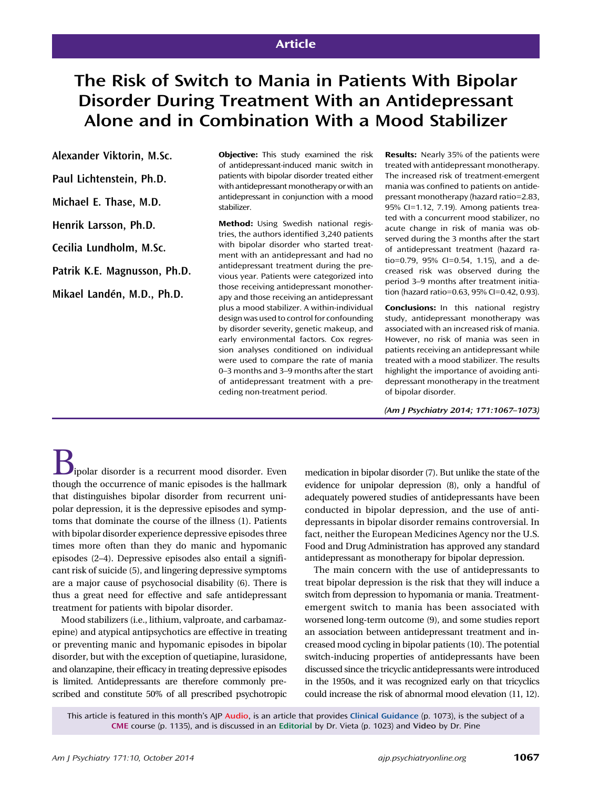# Article

# The Risk of Switch to Mania in Patients With Bipolar Disorder During Treatment With an Antidepressant Alone and in Combination With a Mood Stabilizer

Alexander Viktorin, M.Sc.

Paul Lichtenstein, Ph.D.

Michael E. Thase, M.D.

Henrik Larsson, Ph.D.

Cecilia Lundholm, M.Sc.

Patrik K.E. Magnusson, Ph.D.

Mikael Landén, M.D., Ph.D.

**Objective:** This study examined the risk of antidepressant-induced manic switch in patients with bipolar disorder treated either with antidepressant monotherapy or with an antidepressant in conjunction with a mood stabilizer.

Method: Using Swedish national registries, the authors identified 3,240 patients with bipolar disorder who started treatment with an antidepressant and had no antidepressant treatment during the previous year. Patients were categorized into those receiving antidepressant monotherapy and those receiving an antidepressant plus a mood stabilizer. A within-individual design was used to control for confounding by disorder severity, genetic makeup, and early environmental factors. Cox regression analyses conditioned on individual were used to compare the rate of mania 0–3 months and 3–9 months after the start of antidepressant treatment with a preceding non-treatment period.

Results: Nearly 35% of the patients were treated with antidepressant monotherapy. The increased risk of treatment-emergent mania was confined to patients on antidepressant monotherapy (hazard ratio=2.83, 95% CI=1.12, 7.19). Among patients treated with a concurrent mood stabilizer, no acute change in risk of mania was observed during the 3 months after the start of antidepressant treatment (hazard ratio=0.79, 95% CI=0.54, 1.15), and a decreased risk was observed during the period 3–9 months after treatment initiation (hazard ratio=0.63, 95% CI=0.42, 0.93).

Conclusions: In this national registry study, antidepressant monotherapy was associated with an increased risk of mania. However, no risk of mania was seen in patients receiving an antidepressant while treated with a mood stabilizer. The results highlight the importance of avoiding antidepressant monotherapy in the treatment of bipolar disorder.

(Am J Psychiatry 2014; 171:1067–1073)

Bipolar disorder is a recurrent mood disorder. Even though the occurrence of manic episodes is the hallmark that distinguishes bipolar disorder from recurrent unipolar depression, it is the depressive episodes and symptoms that dominate the course of the illness (1). Patients with bipolar disorder experience depressive episodes three times more often than they do manic and hypomanic episodes (2–4). Depressive episodes also entail a significant risk of suicide (5), and lingering depressive symptoms are a major cause of psychosocial disability (6). There is thus a great need for effective and safe antidepressant treatment for patients with bipolar disorder.

Mood stabilizers (i.e., lithium, valproate, and carbamazepine) and atypical antipsychotics are effective in treating or preventing manic and hypomanic episodes in bipolar disorder, but with the exception of quetiapine, lurasidone, and olanzapine, their efficacy in treating depressive episodes is limited. Antidepressants are therefore commonly prescribed and constitute 50% of all prescribed psychotropic medication in bipolar disorder (7). But unlike the state of the evidence for unipolar depression (8), only a handful of adequately powered studies of antidepressants have been conducted in bipolar depression, and the use of antidepressants in bipolar disorder remains controversial. In fact, neither the European Medicines Agency nor the U.S. Food and Drug Administration has approved any standard antidepressant as monotherapy for bipolar depression.

The main concern with the use of antidepressants to treat bipolar depression is the risk that they will induce a switch from depression to hypomania or mania. Treatmentemergent switch to mania has been associated with worsened long-term outcome (9), and some studies report an association between antidepressant treatment and increased mood cycling in bipolar patients (10). The potential switch-inducing properties of antidepressants have been discussed since the tricyclic antidepressants were introduced in the 1950s, and it was recognized early on that tricyclics could increase the risk of abnormal mood elevation (11, 12).

This article is featured in this month's AJP Audio, is an article that provides Clinical Guidance (p. 1073), is the subject of a CME course (p. 1135), and is discussed in an Editorial by Dr. Vieta (p. 1023) and Video by Dr. Pine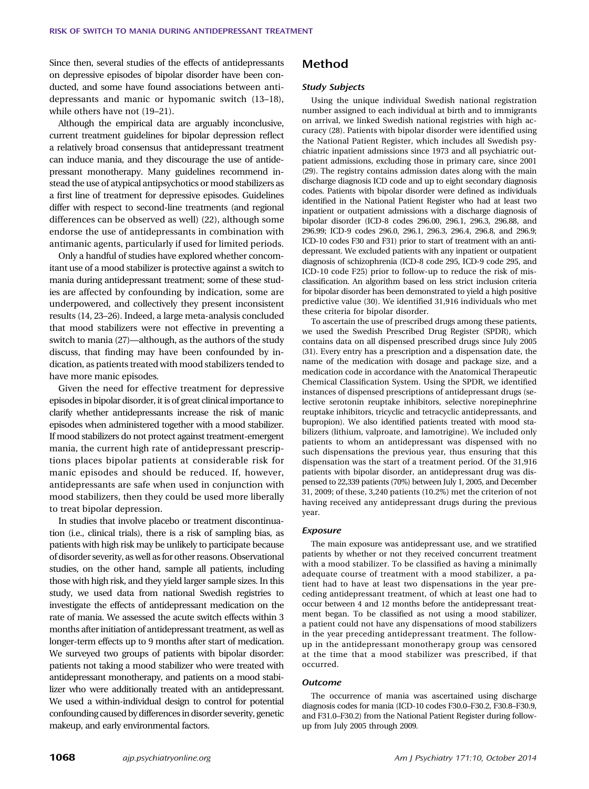Since then, several studies of the effects of antidepressants on depressive episodes of bipolar disorder have been conducted, and some have found associations between antidepressants and manic or hypomanic switch (13–18), while others have not (19–21).

Although the empirical data are arguably inconclusive, current treatment guidelines for bipolar depression reflect a relatively broad consensus that antidepressant treatment can induce mania, and they discourage the use of antidepressant monotherapy. Many guidelines recommend instead the use of atypical antipsychotics or mood stabilizers as a first line of treatment for depressive episodes. Guidelines differ with respect to second-line treatments (and regional differences can be observed as well) (22), although some endorse the use of antidepressants in combination with antimanic agents, particularly if used for limited periods.

Only a handful of studies have explored whether concomitant use of a mood stabilizer is protective against a switch to mania during antidepressant treatment; some of these studies are affected by confounding by indication, some are underpowered, and collectively they present inconsistent results (14, 23–26). Indeed, a large meta-analysis concluded that mood stabilizers were not effective in preventing a switch to mania (27)—although, as the authors of the study discuss, that finding may have been confounded by indication, as patients treated with mood stabilizers tended to have more manic episodes.

Given the need for effective treatment for depressive episodes in bipolar disorder, it is of great clinical importance to clarify whether antidepressants increase the risk of manic episodes when administered together with a mood stabilizer. If mood stabilizers do not protect against treatment-emergent mania, the current high rate of antidepressant prescriptions places bipolar patients at considerable risk for manic episodes and should be reduced. If, however, antidepressants are safe when used in conjunction with mood stabilizers, then they could be used more liberally to treat bipolar depression.

In studies that involve placebo or treatment discontinuation (i.e., clinical trials), there is a risk of sampling bias, as patients with high risk may be unlikely to participate because of disorder severity, as well as for other reasons. Observational studies, on the other hand, sample all patients, including those with high risk, and they yield larger sample sizes. In this study, we used data from national Swedish registries to investigate the effects of antidepressant medication on the rate of mania. We assessed the acute switch effects within 3 months after initiation of antidepressant treatment, as well as longer-term effects up to 9 months after start of medication. We surveyed two groups of patients with bipolar disorder: patients not taking a mood stabilizer who were treated with antidepressant monotherapy, and patients on a mood stabilizer who were additionally treated with an antidepressant. We used a within-individual design to control for potential confounding caused by differences in disorder severity, genetic makeup, and early environmental factors.

## Method

## Study Subjects

Using the unique individual Swedish national registration number assigned to each individual at birth and to immigrants on arrival, we linked Swedish national registries with high accuracy (28). Patients with bipolar disorder were identified using the National Patient Register, which includes all Swedish psychiatric inpatient admissions since 1973 and all psychiatric outpatient admissions, excluding those in primary care, since 2001 (29). The registry contains admission dates along with the main discharge diagnosis ICD code and up to eight secondary diagnosis codes. Patients with bipolar disorder were defined as individuals identified in the National Patient Register who had at least two inpatient or outpatient admissions with a discharge diagnosis of bipolar disorder (ICD-8 codes 296.00, 296.1, 296.3, 296.88, and 296.99; ICD-9 codes 296.0, 296.1, 296.3, 296.4, 296.8, and 296.9; ICD-10 codes F30 and F31) prior to start of treatment with an antidepressant. We excluded patients with any inpatient or outpatient diagnosis of schizophrenia (ICD-8 code 295, ICD-9 code 295, and ICD-10 code F25) prior to follow-up to reduce the risk of misclassification. An algorithm based on less strict inclusion criteria for bipolar disorder has been demonstrated to yield a high positive predictive value (30). We identified 31,916 individuals who met these criteria for bipolar disorder.

To ascertain the use of prescribed drugs among these patients, we used the Swedish Prescribed Drug Register (SPDR), which contains data on all dispensed prescribed drugs since July 2005 (31). Every entry has a prescription and a dispensation date, the name of the medication with dosage and package size, and a medication code in accordance with the Anatomical Therapeutic Chemical Classification System. Using the SPDR, we identified instances of dispensed prescriptions of antidepressant drugs (selective serotonin reuptake inhibitors, selective norepinephrine reuptake inhibitors, tricyclic and tetracyclic antidepressants, and bupropion). We also identified patients treated with mood stabilizers (lithium, valproate, and lamotrigine). We included only patients to whom an antidepressant was dispensed with no such dispensations the previous year, thus ensuring that this dispensation was the start of a treatment period. Of the 31,916 patients with bipolar disorder, an antidepressant drug was dispensed to 22,339 patients (70%) between July 1, 2005, and December 31, 2009; of these, 3,240 patients (10.2%) met the criterion of not having received any antidepressant drugs during the previous year.

#### **Exposure**

The main exposure was antidepressant use, and we stratified patients by whether or not they received concurrent treatment with a mood stabilizer. To be classified as having a minimally adequate course of treatment with a mood stabilizer, a patient had to have at least two dispensations in the year preceding antidepressant treatment, of which at least one had to occur between 4 and 12 months before the antidepressant treatment began. To be classified as not using a mood stabilizer, a patient could not have any dispensations of mood stabilizers in the year preceding antidepressant treatment. The followup in the antidepressant monotherapy group was censored at the time that a mood stabilizer was prescribed, if that occurred.

#### **Outcome**

The occurrence of mania was ascertained using discharge diagnosis codes for mania (ICD-10 codes F30.0–F30.2, F30.8–F30.9, and F31.0–F30.2) from the National Patient Register during followup from July 2005 through 2009.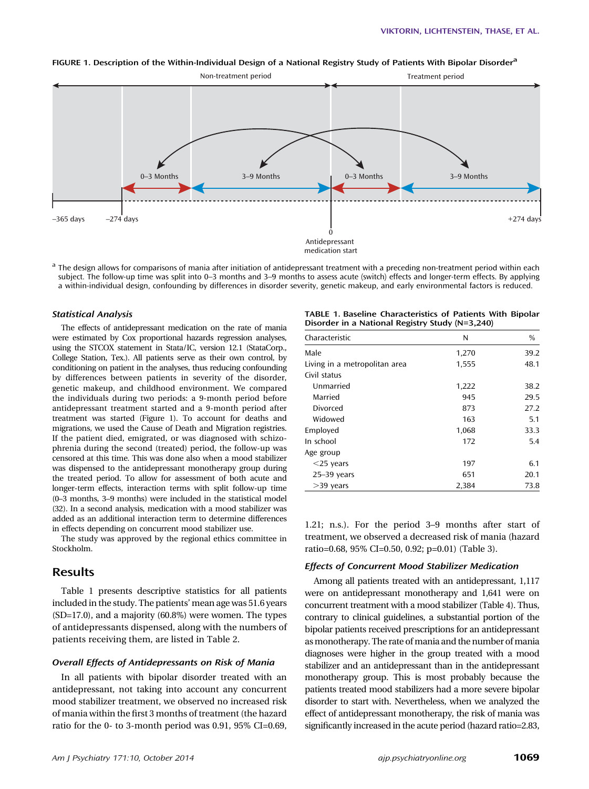

#### FIGURE 1. Description of the Within-Individual Design of a National Registry Study of Patients With Bipolar Disorder<sup>a</sup>

<sup>a</sup> The design allows for comparisons of mania after initiation of antidepressant treatment with a preceding non-treatment period within each subject. The follow-up time was split into 0–3 months and 3–9 months to assess acute (switch) effects and longer-term effects. By applying a within-individual design, confounding by differences in disorder severity, genetic makeup, and early environmental factors is reduced.

#### Statistical Analysis

The effects of antidepressant medication on the rate of mania were estimated by Cox proportional hazards regression analyses, using the STCOX statement in Stata/IC, version 12.1 (StataCorp., College Station, Tex.). All patients serve as their own control, by conditioning on patient in the analyses, thus reducing confounding by differences between patients in severity of the disorder, genetic makeup, and childhood environment. We compared the individuals during two periods: a 9-month period before antidepressant treatment started and a 9-month period after treatment was started (Figure 1). To account for deaths and migrations, we used the Cause of Death and Migration registries. If the patient died, emigrated, or was diagnosed with schizophrenia during the second (treated) period, the follow-up was censored at this time. This was done also when a mood stabilizer was dispensed to the antidepressant monotherapy group during the treated period. To allow for assessment of both acute and longer-term effects, interaction terms with split follow-up time (0–3 months, 3–9 months) were included in the statistical model (32). In a second analysis, medication with a mood stabilizer was added as an additional interaction term to determine differences in effects depending on concurrent mood stabilizer use.

The study was approved by the regional ethics committee in Stockholm.

## Results

Table 1 presents descriptive statistics for all patients included in the study. The patients' mean age was 51.6 years (SD=17.0), and a majority (60.8%) were women. The types of antidepressants dispensed, along with the numbers of patients receiving them, are listed in Table 2.

## Overall Effects of Antidepressants on Risk of Mania

In all patients with bipolar disorder treated with an antidepressant, not taking into account any concurrent mood stabilizer treatment, we observed no increased risk of mania within the first 3 months of treatment (the hazard ratio for the 0- to 3-month period was 0.91, 95% CI=0.69,

| TABLE 1. Baseline Characteristics of Patients With Bipolar |  |  |
|------------------------------------------------------------|--|--|
| Disorder in a National Registry Study (N=3,240)            |  |  |

| Characteristic                | N     | %    |
|-------------------------------|-------|------|
| Male                          | 1,270 | 39.2 |
| Living in a metropolitan area | 1,555 | 48.1 |
| Civil status                  |       |      |
| Unmarried                     | 1,222 | 38.2 |
| Married                       | 945   | 29.5 |
| Divorced                      | 873   | 27.2 |
| Widowed                       | 163   | 5.1  |
| Employed                      | 1,068 | 33.3 |
| In school                     | 172   | 5.4  |
| Age group                     |       |      |
| $<$ 25 years                  | 197   | 6.1  |
| $25 - 39$ years               | 651   | 20.1 |
| $>$ 39 years                  | 2,384 | 73.8 |

1.21; n.s.). For the period 3–9 months after start of treatment, we observed a decreased risk of mania (hazard ratio=0.68, 95% CI=0.50, 0.92; p=0.01) (Table 3).

## Effects of Concurrent Mood Stabilizer Medication

Among all patients treated with an antidepressant, 1,117 were on antidepressant monotherapy and 1,641 were on concurrent treatment with a mood stabilizer (Table 4). Thus, contrary to clinical guidelines, a substantial portion of the bipolar patients received prescriptions for an antidepressant as monotherapy. The rate of mania and the number of mania diagnoses were higher in the group treated with a mood stabilizer and an antidepressant than in the antidepressant monotherapy group. This is most probably because the patients treated mood stabilizers had a more severe bipolar disorder to start with. Nevertheless, when we analyzed the effect of antidepressant monotherapy, the risk of mania was significantly increased in the acute period (hazard ratio=2.83,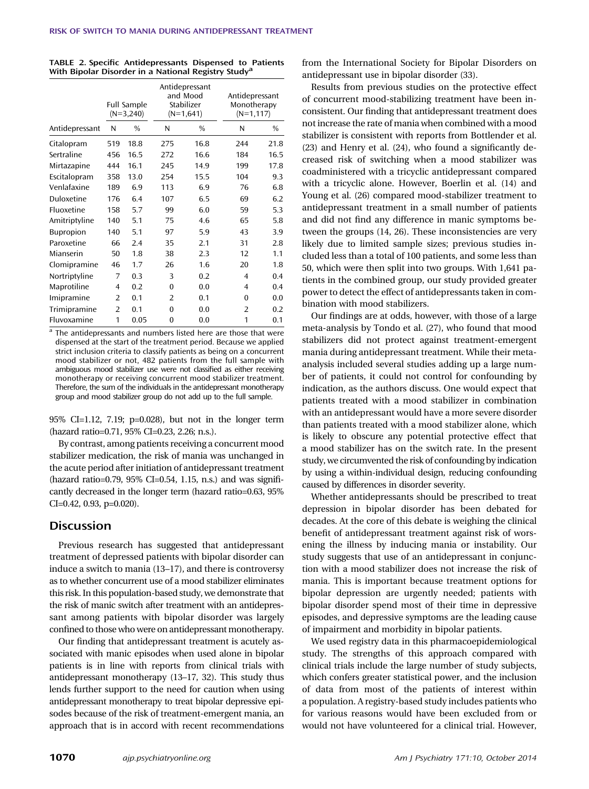| TABLE 2. Specific Antidepressants Dispensed to Patients         |  |  |
|-----------------------------------------------------------------|--|--|
| With Bipolar Disorder in a National Registry Study <sup>a</sup> |  |  |

|                  |                | Full Sample<br>$(N=3,240)$ | Antidepressant<br>and Mood<br>Stabilizer<br>$(N=1,641)$ |               |          | Antidepressant<br>Monotherapy<br>$(N=1, 117)$ |  |
|------------------|----------------|----------------------------|---------------------------------------------------------|---------------|----------|-----------------------------------------------|--|
| Antidepressant   | N              | $\frac{0}{0}$              | N                                                       | $\frac{0}{0}$ | N        | $\frac{0}{0}$                                 |  |
| Citalopram       | 519            | 18.8                       | 275                                                     | 16.8          | 244      | 21.8                                          |  |
| Sertraline       | 456            | 16.5                       | 272                                                     | 16.6          | 184      | 16.5                                          |  |
| Mirtazapine      | 444            | 16.1                       | 245                                                     | 14.9          | 199      | 17.8                                          |  |
| Escitalopram     | 358            | 13.0                       | 254                                                     | 15.5          | 104      | 9.3                                           |  |
| Venlafaxine      | 189            | 6.9                        | 113                                                     | 6.9           | 76       | 6.8                                           |  |
| Duloxetine       | 176            | 6.4                        | 107                                                     | 6.5           | 69       | 6.2                                           |  |
| Fluoxetine       | 158            | 5.7                        | 99                                                      | 6.0           | 59       | 5.3                                           |  |
| Amitriptyline    | 140            | 5.1                        | 75                                                      | 4.6           | 65       | 5.8                                           |  |
| <b>Bupropion</b> | 140            | 5.1                        | 97                                                      | 5.9           | 43       | 3.9                                           |  |
| Paroxetine       | 66             | 2.4                        | 35                                                      | 2.1           | 31       | 2.8                                           |  |
| Mianserin        | 50             | 1.8                        | 38                                                      | 2.3           | 12       | 1.1                                           |  |
| Clomipramine     | 46             | 1.7                        | 26                                                      | 1.6           | 20       | 1.8                                           |  |
| Nortriptyline    | 7              | 0.3                        | 3                                                       | 0.2           | 4        | 0.4                                           |  |
| Maprotiline      | 4              | 0.2                        | $\Omega$                                                | 0.0           | 4        | 0.4                                           |  |
| Imipramine       | 2              | 0.1                        | $\overline{2}$                                          | 0.1           | $\Omega$ | 0.0                                           |  |
| Trimipramine     | $\overline{2}$ | 0.1                        | $\Omega$                                                | 0.0           | 2        | 0.2                                           |  |
| Fluvoxamine      | 1              | 0.05                       | $\mathbf 0$                                             | 0.0           | 1        | 0.1                                           |  |

<sup>a</sup> The antidepressants and numbers listed here are those that were dispensed at the start of the treatment period. Because we applied strict inclusion criteria to classify patients as being on a concurrent mood stabilizer or not, 482 patients from the full sample with ambiguous mood stabilizer use were not classified as either receiving monotherapy or receiving concurrent mood stabilizer treatment. Therefore, the sum of the individuals in the antidepressant monotherapy group and mood stabilizer group do not add up to the full sample.

95% CI=1.12, 7.19; p=0.028), but not in the longer term (hazard ratio=0.71, 95% CI=0.23, 2.26; n.s.).

By contrast, among patients receiving a concurrent mood stabilizer medication, the risk of mania was unchanged in the acute period after initiation of antidepressant treatment (hazard ratio=0.79, 95% CI=0.54, 1.15, n.s.) and was significantly decreased in the longer term (hazard ratio=0.63, 95% CI=0.42, 0.93, p=0.020).

## **Discussion**

Previous research has suggested that antidepressant treatment of depressed patients with bipolar disorder can induce a switch to mania (13–17), and there is controversy as to whether concurrent use of a mood stabilizer eliminates this risk. In this population-based study, we demonstrate that the risk of manic switch after treatment with an antidepressant among patients with bipolar disorder was largely confined to those who were on antidepressant monotherapy.

Our finding that antidepressant treatment is acutely associated with manic episodes when used alone in bipolar patients is in line with reports from clinical trials with antidepressant monotherapy (13–17, 32). This study thus lends further support to the need for caution when using antidepressant monotherapy to treat bipolar depressive episodes because of the risk of treatment-emergent mania, an approach that is in accord with recent recommendations

from the International Society for Bipolar Disorders on antidepressant use in bipolar disorder (33).

Results from previous studies on the protective effect of concurrent mood-stabilizing treatment have been inconsistent. Our finding that antidepressant treatment does not increase the rate of mania when combined with a mood stabilizer is consistent with reports from Bottlender et al. (23) and Henry et al. (24), who found a significantly decreased risk of switching when a mood stabilizer was coadministered with a tricyclic antidepressant compared with a tricyclic alone. However, Boerlin et al. (14) and Young et al. (26) compared mood-stabilizer treatment to antidepressant treatment in a small number of patients and did not find any difference in manic symptoms between the groups (14, 26). These inconsistencies are very likely due to limited sample sizes; previous studies included less than a total of 100 patients, and some less than 50, which were then split into two groups. With 1,641 patients in the combined group, our study provided greater power to detect the effect of antidepressants taken in combination with mood stabilizers.

Our findings are at odds, however, with those of a large meta-analysis by Tondo et al. (27), who found that mood stabilizers did not protect against treatment-emergent mania during antidepressant treatment. While their metaanalysis included several studies adding up a large number of patients, it could not control for confounding by indication, as the authors discuss. One would expect that patients treated with a mood stabilizer in combination with an antidepressant would have a more severe disorder than patients treated with a mood stabilizer alone, which is likely to obscure any potential protective effect that a mood stabilizer has on the switch rate. In the present study, we circumvented the risk of confounding by indication by using a within-individual design, reducing confounding caused by differences in disorder severity.

Whether antidepressants should be prescribed to treat depression in bipolar disorder has been debated for decades. At the core of this debate is weighing the clinical benefit of antidepressant treatment against risk of worsening the illness by inducing mania or instability. Our study suggests that use of an antidepressant in conjunction with a mood stabilizer does not increase the risk of mania. This is important because treatment options for bipolar depression are urgently needed; patients with bipolar disorder spend most of their time in depressive episodes, and depressive symptoms are the leading cause of impairment and morbidity in bipolar patients.

We used registry data in this pharmacoepidemiological study. The strengths of this approach compared with clinical trials include the large number of study subjects, which confers greater statistical power, and the inclusion of data from most of the patients of interest within a population. A registry-based study includes patients who for various reasons would have been excluded from or would not have volunteered for a clinical trial. However,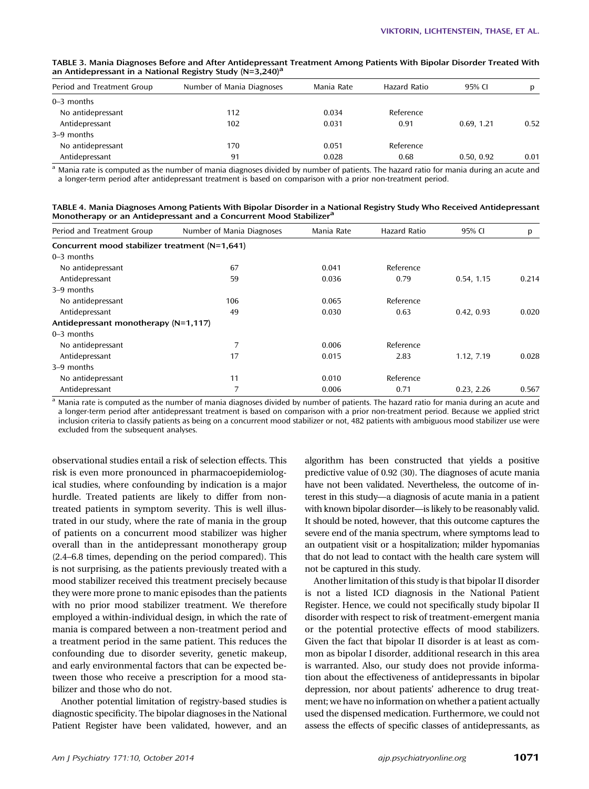| TABLE 3. Mania Diagnoses Before and After Antidepressant Treatment Among Patients With Bipolar Disorder Treated With |  |
|----------------------------------------------------------------------------------------------------------------------|--|
| an Antidepressant in a National Registry Study ( $N=3,240$ ) <sup>a</sup>                                            |  |

| Period and Treatment Group | Number of Mania Diagnoses | Mania Rate | Hazard Ratio | 95% CL     |      |
|----------------------------|---------------------------|------------|--------------|------------|------|
| $0-3$ months               |                           |            |              |            |      |
| No antidepressant          | 112                       | 0.034      | Reference    |            |      |
| Antidepressant             | 102                       | 0.031      | 0.91         | 0.69.1.21  | 0.52 |
| 3–9 months                 |                           |            |              |            |      |
| No antidepressant          | 170                       | 0.051      | Reference    |            |      |
| Antidepressant             | 91                        | 0.028      | 0.68         | 0.50, 0.92 | 0.01 |

<sup>a</sup> Mania rate is computed as the number of mania diagnoses divided by number of patients. The hazard ratio for mania during an acute and a longer-term period after antidepressant treatment is based on comparison with a prior non-treatment period.

TABLE 4. Mania Diagnoses Among Patients With Bipolar Disorder in a National Registry Study Who Received Antidepressant Monotherapy or an Antidepressant and a Concurrent Mood Stabilizer<sup>a</sup>

| Period and Treatment Group                     | Number of Mania Diagnoses | Mania Rate | <b>Hazard Ratio</b> | 95% CI     | p     |
|------------------------------------------------|---------------------------|------------|---------------------|------------|-------|
| Concurrent mood stabilizer treatment (N=1,641) |                           |            |                     |            |       |
| $0-3$ months                                   |                           |            |                     |            |       |
| No antidepressant                              | 67                        | 0.041      | Reference           |            |       |
| Antidepressant                                 | 59                        | 0.036      | 0.79                | 0.54, 1.15 | 0.214 |
| 3–9 months                                     |                           |            |                     |            |       |
| No antidepressant                              | 106                       | 0.065      | Reference           |            |       |
| Antidepressant                                 | 49                        | 0.030      | 0.63                | 0.42, 0.93 | 0.020 |
| Antidepressant monotherapy (N=1,117)           |                           |            |                     |            |       |
| $0-3$ months                                   |                           |            |                     |            |       |
| No antidepressant                              | 7                         | 0.006      | Reference           |            |       |
| Antidepressant                                 | 17                        | 0.015      | 2.83                | 1.12, 7.19 | 0.028 |
| 3–9 months                                     |                           |            |                     |            |       |
| No antidepressant                              | 11                        | 0.010      | Reference           |            |       |
| Antidepressant                                 | 7                         | 0.006      | 0.71                | 0.23, 2.26 | 0.567 |

<sup>a</sup> Mania rate is computed as the number of mania diagnoses divided by number of patients. The hazard ratio for mania during an acute and a longer-term period after antidepressant treatment is based on comparison with a prior non-treatment period. Because we applied strict inclusion criteria to classify patients as being on a concurrent mood stabilizer or not, 482 patients with ambiguous mood stabilizer use were excluded from the subsequent analyses.

observational studies entail a risk of selection effects. This risk is even more pronounced in pharmacoepidemiological studies, where confounding by indication is a major hurdle. Treated patients are likely to differ from nontreated patients in symptom severity. This is well illustrated in our study, where the rate of mania in the group of patients on a concurrent mood stabilizer was higher overall than in the antidepressant monotherapy group (2.4–6.8 times, depending on the period compared). This is not surprising, as the patients previously treated with a mood stabilizer received this treatment precisely because they were more prone to manic episodes than the patients with no prior mood stabilizer treatment. We therefore employed a within-individual design, in which the rate of mania is compared between a non-treatment period and a treatment period in the same patient. This reduces the confounding due to disorder severity, genetic makeup, and early environmental factors that can be expected between those who receive a prescription for a mood stabilizer and those who do not.

Another potential limitation of registry-based studies is diagnostic specificity. The bipolar diagnoses in the National Patient Register have been validated, however, and an algorithm has been constructed that yields a positive predictive value of 0.92 (30). The diagnoses of acute mania have not been validated. Nevertheless, the outcome of interest in this study—a diagnosis of acute mania in a patient with known bipolar disorder—is likely to be reasonably valid. It should be noted, however, that this outcome captures the severe end of the mania spectrum, where symptoms lead to an outpatient visit or a hospitalization; milder hypomanias that do not lead to contact with the health care system will not be captured in this study.

Another limitation of this study is that bipolar II disorder is not a listed ICD diagnosis in the National Patient Register. Hence, we could not specifically study bipolar II disorder with respect to risk of treatment-emergent mania or the potential protective effects of mood stabilizers. Given the fact that bipolar II disorder is at least as common as bipolar I disorder, additional research in this area is warranted. Also, our study does not provide information about the effectiveness of antidepressants in bipolar depression, nor about patients' adherence to drug treatment; we have no information on whether a patient actually used the dispensed medication. Furthermore, we could not assess the effects of specific classes of antidepressants, as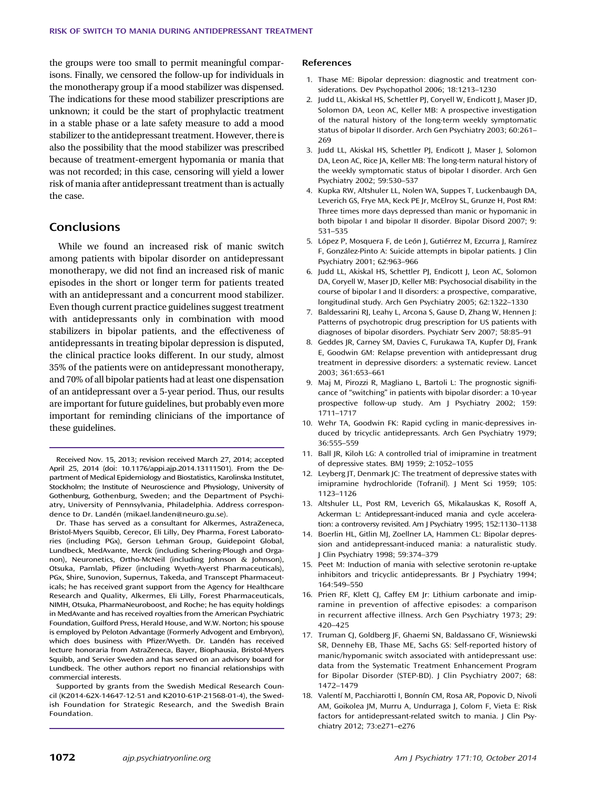the groups were too small to permit meaningful comparisons. Finally, we censored the follow-up for individuals in the monotherapy group if a mood stabilizer was dispensed. The indications for these mood stabilizer prescriptions are unknown; it could be the start of prophylactic treatment in a stable phase or a late safety measure to add a mood stabilizer to the antidepressant treatment. However, there is also the possibility that the mood stabilizer was prescribed because of treatment-emergent hypomania or mania that was not recorded; in this case, censoring will yield a lower risk of mania after antidepressant treatment than is actually the case.

## **Conclusions**

While we found an increased risk of manic switch among patients with bipolar disorder on antidepressant monotherapy, we did not find an increased risk of manic episodes in the short or longer term for patients treated with an antidepressant and a concurrent mood stabilizer. Even though current practice guidelines suggest treatment with antidepressants only in combination with mood stabilizers in bipolar patients, and the effectiveness of antidepressants in treating bipolar depression is disputed, the clinical practice looks different. In our study, almost 35% of the patients were on antidepressant monotherapy, and 70% of all bipolar patients had at least one dispensation of an antidepressant over a 5-year period. Thus, our results are important for future guidelines, but probably even more important for reminding clinicians of the importance of these guidelines.

Received Nov. 15, 2013; revision received March 27, 2014; accepted April 25, 2014 (doi: 10.1176/appi.ajp.2014.13111501). From the Department of Medical Epidemiology and Biostatistics, Karolinska Institutet, Stockholm; the Institute of Neuroscience and Physiology, University of Gothenburg, Gothenburg, Sweden; and the Department of Psychiatry, University of Pennsylvania, Philadelphia. Address correspondence to Dr. Landén [\(mikael.landen@neuro.gu.se](mailto:mikael.landen@neuro.gu.se)).

Dr. Thase has served as a consultant for Alkermes, AstraZeneca, Bristol-Myers Squibb, Cerecor, Eli Lilly, Dey Pharma, Forest Laboratories (including PGx), Gerson Lehman Group, Guidepoint Global, Lundbeck, MedAvante, Merck (including Schering-Plough and Organon), Neuronetics, Ortho-McNeil (including Johnson & Johnson), Otsuka, Pamlab, Pfizer (including Wyeth-Ayerst Pharmaceuticals), PGx, Shire, Sunovion, Supernus, Takeda, and Transcept Pharmaceuticals; he has received grant support from the Agency for Healthcare Research and Quality, Alkermes, Eli Lilly, Forest Pharmaceuticals, NIMH, Otsuka, PharmaNeuroboost, and Roche; he has equity holdings in MedAvante and has received royalties from the American Psychiatric Foundation, Guilford Press, Herald House, and W.W. Norton; his spouse is employed by Peloton Advantage (Formerly Advogent and Embryon), which does business with Pfizer/Wyeth. Dr. Landén has received lecture honoraria from AstraZeneca, Bayer, Biophausia, Bristol-Myers Squibb, and Servier Sweden and has served on an advisory board for Lundbeck. The other authors report no financial relationships with commercial interests.

Supported by grants from the Swedish Medical Research Council (K2014-62X-14647-12-51 and K2010-61P-21568-01-4), the Swedish Foundation for Strategic Research, and the Swedish Brain Foundation.

### References

- 1. Thase ME: Bipolar depression: diagnostic and treatment considerations. Dev Psychopathol 2006; 18:1213–1230
- 2. Judd LL, Akiskal HS, Schettler PJ, Coryell W, Endicott J, Maser JD, Solomon DA, Leon AC, Keller MB: A prospective investigation of the natural history of the long-term weekly symptomatic status of bipolar II disorder. Arch Gen Psychiatry 2003; 60:261– 269
- 3. Judd LL, Akiskal HS, Schettler PJ, Endicott J, Maser J, Solomon DA, Leon AC, Rice JA, Keller MB: The long-term natural history of the weekly symptomatic status of bipolar I disorder. Arch Gen Psychiatry 2002; 59:530–537
- 4. Kupka RW, Altshuler LL, Nolen WA, Suppes T, Luckenbaugh DA, Leverich GS, Frye MA, Keck PE Jr, McElroy SL, Grunze H, Post RM: Three times more days depressed than manic or hypomanic in both bipolar I and bipolar II disorder. Bipolar Disord 2007; 9: 531–535
- 5. López P, Mosquera F, de León J, Gutiérrez M, Ezcurra J, Ramírez F, González-Pinto A: Suicide attempts in bipolar patients. J Clin Psychiatry 2001; 62:963–966
- 6. Judd LL, Akiskal HS, Schettler PJ, Endicott J, Leon AC, Solomon DA, Coryell W, Maser JD, Keller MB: Psychosocial disability in the course of bipolar I and II disorders: a prospective, comparative, longitudinal study. Arch Gen Psychiatry 2005; 62:1322–1330
- 7. Baldessarini RJ, Leahy L, Arcona S, Gause D, Zhang W, Hennen J: Patterns of psychotropic drug prescription for US patients with diagnoses of bipolar disorders. Psychiatr Serv 2007; 58:85–91
- 8. Geddes JR, Carney SM, Davies C, Furukawa TA, Kupfer DJ, Frank E, Goodwin GM: Relapse prevention with antidepressant drug treatment in depressive disorders: a systematic review. Lancet 2003; 361:653–661
- 9. Maj M, Pirozzi R, Magliano L, Bartoli L: The prognostic significance of "switching" in patients with bipolar disorder: a 10-year prospective follow-up study. Am J Psychiatry 2002; 159: 1711–1717
- 10. Wehr TA, Goodwin FK: Rapid cycling in manic-depressives induced by tricyclic antidepressants. Arch Gen Psychiatry 1979; 36:555–559
- 11. Ball JR, Kiloh LG: A controlled trial of imipramine in treatment of depressive states. BMJ 1959; 2:1052–1055
- 12. Leyberg JT, Denmark JC: The treatment of depressive states with imipramine hydrochloride (Tofranil). J Ment Sci 1959; 105: 1123–1126
- 13. Altshuler LL, Post RM, Leverich GS, Mikalauskas K, Rosoff A, Ackerman L: Antidepressant-induced mania and cycle acceleration: a controversy revisited. Am J Psychiatry 1995; 152:1130–1138
- 14. Boerlin HL, Gitlin MJ, Zoellner LA, Hammen CL: Bipolar depression and antidepressant-induced mania: a naturalistic study. J Clin Psychiatry 1998; 59:374–379
- 15. Peet M: Induction of mania with selective serotonin re-uptake inhibitors and tricyclic antidepressants. Br J Psychiatry 1994; 164:549–550
- 16. Prien RF, Klett CJ, Caffey EM Jr: Lithium carbonate and imipramine in prevention of affective episodes: a comparison in recurrent affective illness. Arch Gen Psychiatry 1973; 29: 420–425
- 17. Truman CJ, Goldberg JF, Ghaemi SN, Baldassano CF, Wisniewski SR, Dennehy EB, Thase ME, Sachs GS: Self-reported history of manic/hypomanic switch associated with antidepressant use: data from the Systematic Treatment Enhancement Program for Bipolar Disorder (STEP-BD). J Clin Psychiatry 2007; 68: 1472–1479
- 18. Valentí M, Pacchiarotti I, Bonnín CM, Rosa AR, Popovic D, Nivoli AM, Goikolea JM, Murru A, Undurraga J, Colom F, Vieta E: Risk factors for antidepressant-related switch to mania. J Clin Psychiatry 2012; 73:e271–e276